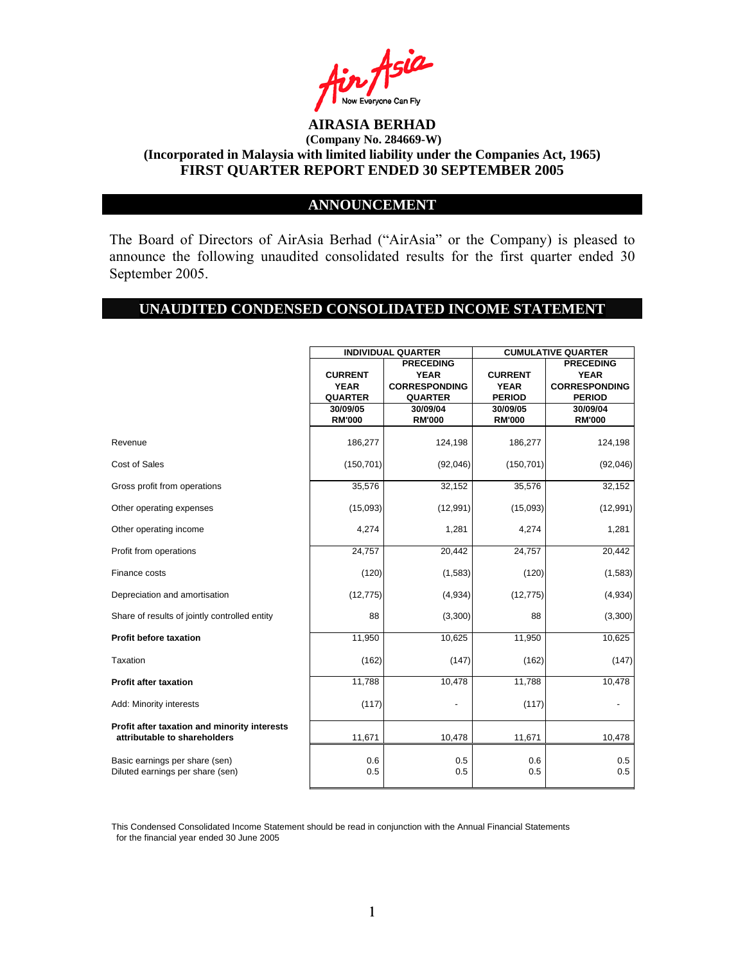

## **ANNOUNCEMENT**

The Board of Directors of AirAsia Berhad ("AirAsia" or the Company) is pleased to announce the following unaudited consolidated results for the first quarter ended 30 September 2005.

#### **UNAUDITED CONDENSED CONSOLIDATED INCOME STATEMENT**

|                                                                              | <b>INDIVIDUAL QUARTER</b> |                      | <b>CUMULATIVE QUARTER</b> |                      |  |
|------------------------------------------------------------------------------|---------------------------|----------------------|---------------------------|----------------------|--|
|                                                                              |                           | <b>PRECEDING</b>     |                           | <b>PRECEDING</b>     |  |
|                                                                              | <b>CURRENT</b>            | <b>YEAR</b>          | <b>CURRENT</b>            | <b>YEAR</b>          |  |
|                                                                              | <b>YEAR</b>               | <b>CORRESPONDING</b> | <b>YEAR</b>               | <b>CORRESPONDING</b> |  |
|                                                                              | <b>QUARTER</b>            | <b>QUARTER</b>       | <b>PERIOD</b>             | <b>PERIOD</b>        |  |
|                                                                              | 30/09/05                  | 30/09/04             | 30/09/05                  | 30/09/04             |  |
|                                                                              | <b>RM'000</b>             | <b>RM'000</b>        | <b>RM'000</b>             | <b>RM'000</b>        |  |
| Revenue                                                                      | 186,277                   | 124,198              | 186,277                   | 124,198              |  |
| Cost of Sales                                                                | (150, 701)                | (92,046)             | (150, 701)                | (92,046)             |  |
| Gross profit from operations                                                 | 35,576                    | 32,152               | 35,576                    | 32,152               |  |
| Other operating expenses                                                     | (15,093)                  | (12, 991)            | (15,093)                  | (12,991)             |  |
| Other operating income                                                       | 4,274                     | 1,281                | 4,274                     | 1,281                |  |
| Profit from operations                                                       | 24,757                    | 20,442               | 24,757                    | 20,442               |  |
| Finance costs                                                                | (120)                     | (1,583)              | (120)                     | (1,583)              |  |
| Depreciation and amortisation                                                | (12, 775)                 | (4,934)              | (12, 775)                 | (4,934)              |  |
| Share of results of jointly controlled entity                                | 88                        | (3,300)              | 88                        | (3,300)              |  |
| <b>Profit before taxation</b>                                                | 11,950                    | 10,625               | 11,950                    | 10,625               |  |
| Taxation                                                                     | (162)                     | (147)                | (162)                     | (147)                |  |
| <b>Profit after taxation</b>                                                 | 11,788                    | 10,478               | 11,788                    | 10,478               |  |
| Add: Minority interests                                                      | (117)                     | -                    | (117)                     |                      |  |
| Profit after taxation and minority interests<br>attributable to shareholders | 11,671                    | 10,478               | 11,671                    | 10,478               |  |
| Basic earnings per share (sen)<br>Diluted earnings per share (sen)           | 0.6<br>0.5                | 0.5<br>0.5           | 0.6<br>0.5                | 0.5<br>0.5           |  |

This Condensed Consolidated Income Statement should be read in conjunction with the Annual Financial Statements for the financial year ended 30 June 2005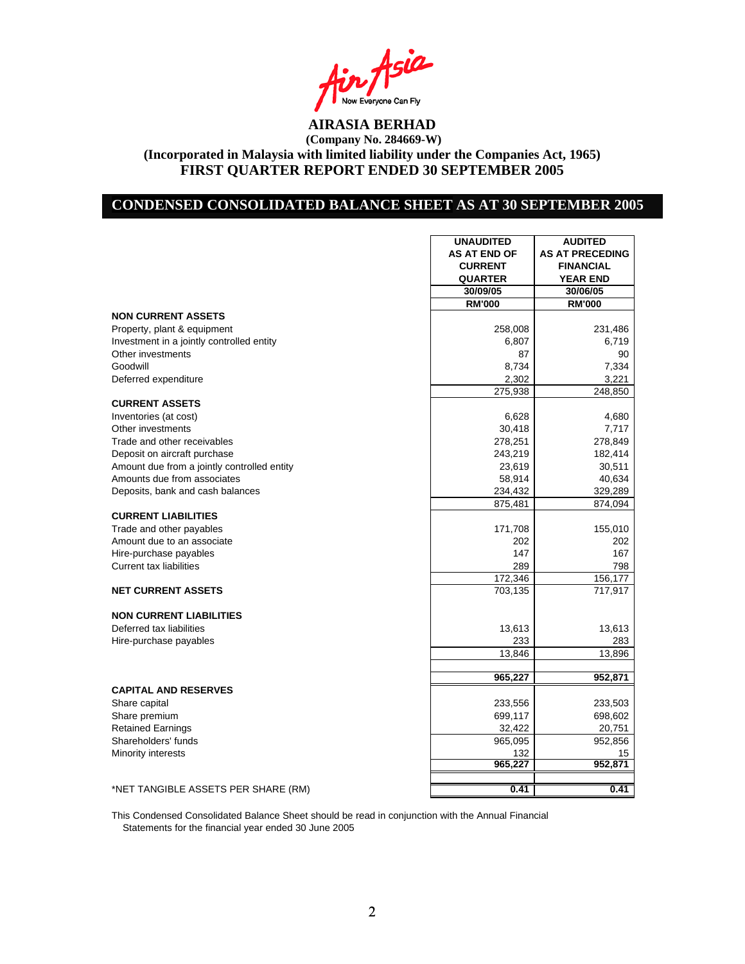Asia Now Everyone Can Fly<br>**AIRASIA BERHAD** 

## **CONDENSED CONSOLIDATED BALANCE SHEET AS AT 30 SEPTEMBER 2005**

|                                             | <b>UNAUDITED</b>    | <b>AUDITED</b>         |
|---------------------------------------------|---------------------|------------------------|
|                                             | <b>AS AT END OF</b> | <b>AS AT PRECEDING</b> |
|                                             | <b>CURRENT</b>      | <b>FINANCIAL</b>       |
|                                             | <b>QUARTER</b>      | <b>YEAR END</b>        |
|                                             | 30/09/05            | 30/06/05               |
|                                             | <b>RM'000</b>       | <b>RM'000</b>          |
| <b>NON CURRENT ASSETS</b>                   |                     |                        |
| Property, plant & equipment                 | 258,008             | 231,486                |
| Investment in a jointly controlled entity   | 6,807               | 6,719                  |
| Other investments                           | 87                  | 90                     |
| Goodwill                                    | 8,734               | 7,334                  |
| Deferred expenditure                        | 2,302               | 3,221                  |
|                                             | 275,938             | 248,850                |
| <b>CURRENT ASSETS</b>                       |                     |                        |
| Inventories (at cost)                       | 6,628               | 4,680                  |
| Other investments                           | 30,418              | 7,717                  |
| Trade and other receivables                 | 278,251             | 278,849                |
| Deposit on aircraft purchase                | 243,219             | 182,414                |
| Amount due from a jointly controlled entity | 23,619              | 30,511                 |
| Amounts due from associates                 | 58,914              | 40,634                 |
| Deposits, bank and cash balances            | 234,432             | 329,289                |
|                                             | 875,481             | 874,094                |
| <b>CURRENT LIABILITIES</b>                  |                     |                        |
| Trade and other payables                    | 171,708             | 155,010                |
| Amount due to an associate                  | 202                 | 202                    |
| Hire-purchase payables                      | 147                 | 167                    |
| <b>Current tax liabilities</b>              | 289                 | 798                    |
|                                             | 172,346             | 156,177                |
| <b>NET CURRENT ASSETS</b>                   | 703,135             | 717,917                |
|                                             |                     |                        |
| <b>NON CURRENT LIABILITIES</b>              |                     |                        |
| Deferred tax liabilities                    | 13,613              | 13,613                 |
| Hire-purchase payables                      | 233                 | 283                    |
|                                             | 13,846              | 13,896                 |
|                                             |                     |                        |
|                                             | 965,227             | 952,871                |
| <b>CAPITAL AND RESERVES</b>                 |                     |                        |
| Share capital                               | 233,556             | 233,503                |
| Share premium                               | 699,117             | 698,602                |
| <b>Retained Earnings</b>                    | 32,422              | 20,751                 |
| Shareholders' funds                         | 965,095             | 952,856                |
| Minority interests                          | 132                 | 15                     |
|                                             | 965,227             | 952,871                |
|                                             |                     |                        |
| *NET TANGIBLE ASSETS PER SHARE (RM)         | 0.41                | 0.41                   |

This Condensed Consolidated Balance Sheet should be read in conjunction with the Annual Financial Statements for the financial year ended 30 June 2005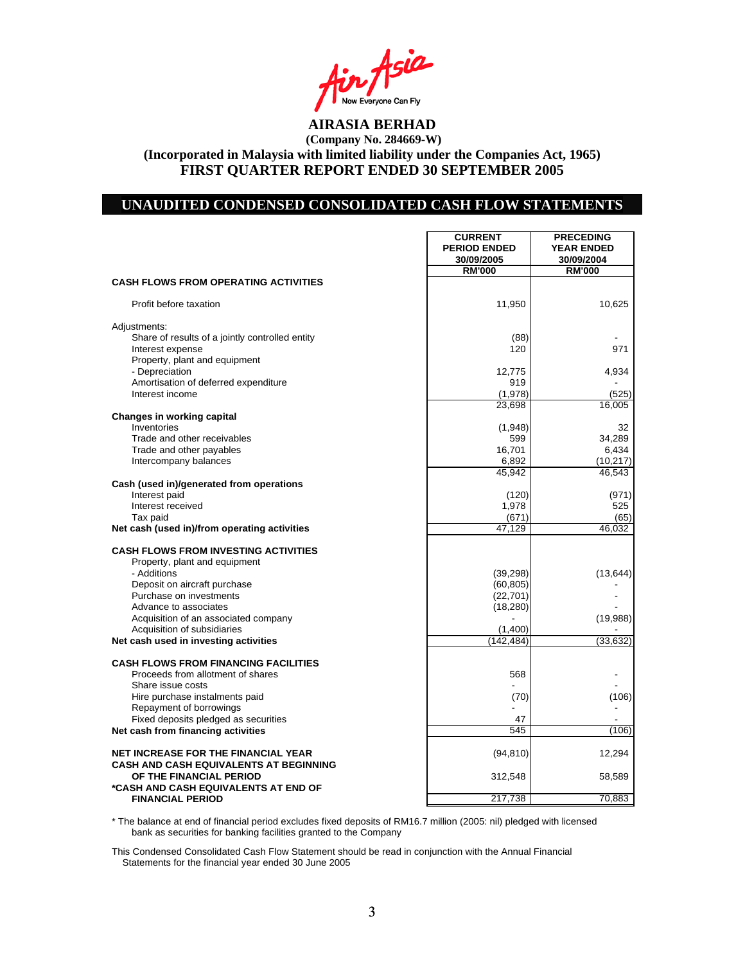n Asia Now Everyone Can Fly<br>**AIRASIA BERHAD** 

## **UNAUDITED CONDENSED CONSOLIDATED CASH FLOW STATEMENTS**

|                                                                      | <b>CURRENT</b>        | <b>PRECEDING</b>  |
|----------------------------------------------------------------------|-----------------------|-------------------|
|                                                                      | <b>PERIOD ENDED</b>   | <b>YEAR ENDED</b> |
|                                                                      | 30/09/2005            | 30/09/2004        |
|                                                                      | <b>RM'000</b>         | <b>RM'000</b>     |
| <b>CASH FLOWS FROM OPERATING ACTIVITIES</b>                          |                       |                   |
| Profit before taxation                                               | 11,950                | 10,625            |
| Adjustments:                                                         |                       |                   |
| Share of results of a jointly controlled entity                      | (88)                  |                   |
| Interest expense                                                     | 120                   | 971               |
| Property, plant and equipment<br>- Depreciation                      | 12,775                | 4,934             |
| Amortisation of deferred expenditure                                 | 919                   |                   |
| Interest income                                                      | (1,978)               | (525)             |
|                                                                      | 23,698                | 16,005            |
| <b>Changes in working capital</b>                                    |                       |                   |
| Inventories                                                          | (1,948)               | 32                |
| Trade and other receivables                                          | 599                   | 34,289            |
| Trade and other payables                                             | 16,701                | 6,434             |
| Intercompany balances                                                | 6,892                 | (10,217)          |
|                                                                      | 45,942                | 46,543            |
| Cash (used in)/generated from operations                             |                       |                   |
| Interest paid                                                        | (120)                 | (971)             |
| Interest received                                                    | 1,978<br>(671)        | 525<br>(65)       |
| Tax paid<br>Net cash (used in)/from operating activities             | 47.129                | 46.032            |
|                                                                      |                       |                   |
| <b>CASH FLOWS FROM INVESTING ACTIVITIES</b>                          |                       |                   |
| Property, plant and equipment                                        |                       |                   |
| - Additions                                                          | (39, 298)             | (13, 644)         |
| Deposit on aircraft purchase                                         | (60, 805)             |                   |
| Purchase on investments                                              | (22, 701)             |                   |
| Advance to associates                                                | (18, 280)             |                   |
| Acquisition of an associated company                                 |                       | (19,988)          |
| Acquisition of subsidiaries<br>Net cash used in investing activities | (1,400)<br>(142, 484) | (33, 632)         |
|                                                                      |                       |                   |
| <b>CASH FLOWS FROM FINANCING FACILITIES</b>                          |                       |                   |
| Proceeds from allotment of shares                                    | 568                   |                   |
| Share issue costs                                                    |                       |                   |
| Hire purchase instalments paid                                       | (70)                  | (106)             |
| Repayment of borrowings                                              |                       |                   |
| Fixed deposits pledged as securities                                 | 47                    |                   |
| Net cash from financing activities                                   | 545                   | (106)             |
| <b>NET INCREASE FOR THE FINANCIAL YEAR</b>                           | (94, 810)             | 12,294            |
| <b>CASH AND CASH EQUIVALENTS AT BEGINNING</b>                        |                       |                   |
| OF THE FINANCIAL PERIOD                                              | 312,548               | 58,589            |
| *CASH AND CASH EQUIVALENTS AT END OF                                 |                       |                   |
| <b>FINANCIAL PERIOD</b>                                              | 217,738               | 70,883            |

\* The balance at end of financial period excludes fixed deposits of RM16.7 million (2005: nil) pledged with licensed bank as securities for banking facilities granted to the Company

This Condensed Consolidated Cash Flow Statement should be read in conjunction with the Annual Financial Statements for the financial year ended 30 June 2005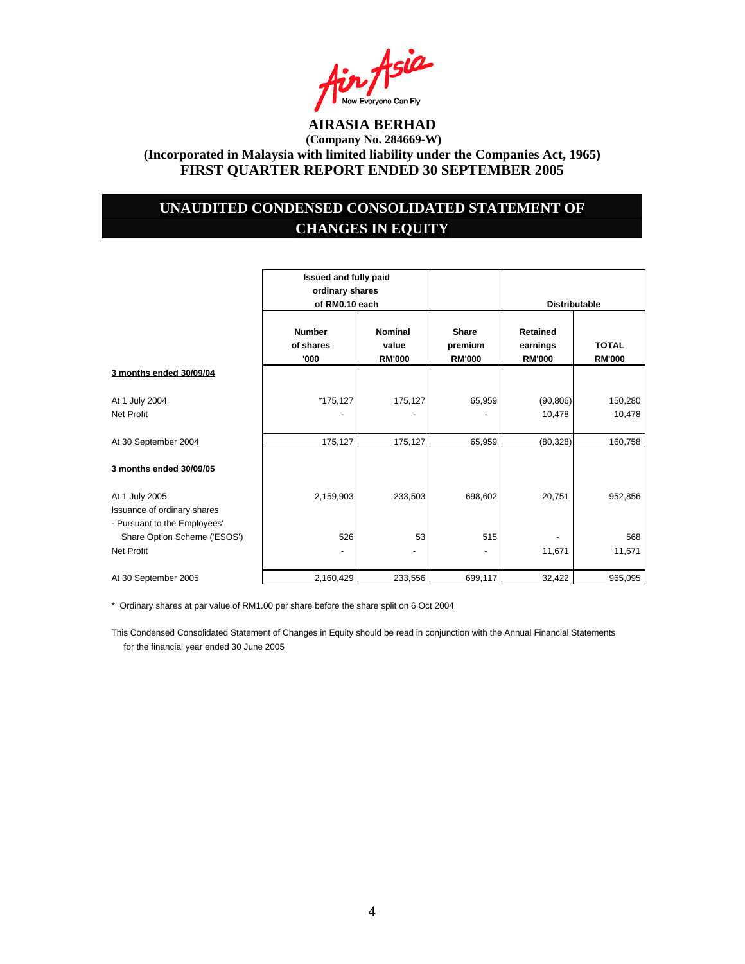

## **UNAUDITED CONDENSED CONSOLIDATED STATEMENT OF CHANGES IN EQUITY**

|                                                                               | Issued and fully paid<br>ordinary shares<br>of RM0.10 each |                                          |                                          | <b>Distributable</b>                         |                               |
|-------------------------------------------------------------------------------|------------------------------------------------------------|------------------------------------------|------------------------------------------|----------------------------------------------|-------------------------------|
|                                                                               | <b>Number</b><br>of shares<br>'000                         | <b>Nominal</b><br>value<br><b>RM'000</b> | <b>Share</b><br>premium<br><b>RM'000</b> | <b>Retained</b><br>earnings<br><b>RM'000</b> | <b>TOTAL</b><br><b>RM'000</b> |
| 3 months ended 30/09/04                                                       |                                                            |                                          |                                          |                                              |                               |
| At 1 July 2004<br>Net Profit                                                  | *175,127                                                   | 175,127                                  | 65,959                                   | (90, 806)<br>10,478                          | 150,280<br>10,478             |
| At 30 September 2004                                                          | 175,127                                                    | 175,127                                  | 65,959                                   | (80, 328)                                    | 160,758                       |
| 3 months ended 30/09/05                                                       |                                                            |                                          |                                          |                                              |                               |
| At 1 July 2005<br>Issuance of ordinary shares<br>- Pursuant to the Employees' | 2,159,903                                                  | 233,503                                  | 698,602                                  | 20,751                                       | 952,856                       |
| Share Option Scheme ('ESOS')                                                  | 526                                                        | 53                                       | 515                                      |                                              | 568                           |
| Net Profit                                                                    | $\overline{a}$                                             | $\overline{\phantom{0}}$                 | -                                        | 11,671                                       | 11,671                        |
| At 30 September 2005                                                          | 2,160,429                                                  | 233,556                                  | 699,117                                  | 32,422                                       | 965,095                       |

\* Ordinary shares at par value of RM1.00 per share before the share split on 6 Oct 2004

This Condensed Consolidated Statement of Changes in Equity should be read in conjunction with the Annual Financial Statements for the financial year ended 30 June 2005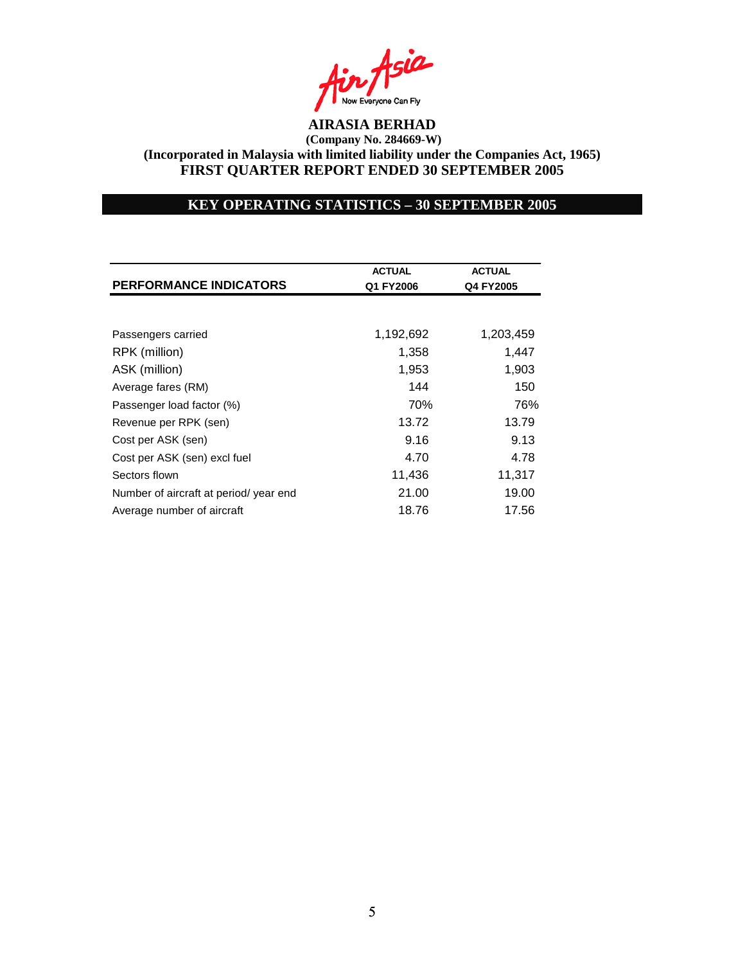

## **KEY OPERATING STATISTICS – 30 SEPTEMBER 2005**

| <b>PERFORMANCE INDICATORS</b>          | <b>ACTUAL</b><br>Q1 FY2006 | <b>ACTUAL</b><br>Q4 FY2005 |
|----------------------------------------|----------------------------|----------------------------|
|                                        |                            |                            |
| Passengers carried                     | 1,192,692                  | 1,203,459                  |
| RPK (million)                          | 1,358                      | 1,447                      |
| ASK (million)                          | 1,953                      | 1,903                      |
| Average fares (RM)                     | 144                        | 150                        |
| Passenger load factor (%)              | 70%                        | 76%                        |
| Revenue per RPK (sen)                  | 13.72                      | 13.79                      |
| Cost per ASK (sen)                     | 9.16                       | 9.13                       |
| Cost per ASK (sen) excl fuel           | 4.70                       | 4.78                       |
| Sectors flown                          | 11,436                     | 11,317                     |
| Number of aircraft at period/ year end | 21.00                      | 19.00                      |
| Average number of aircraft             | 18.76                      | 17.56                      |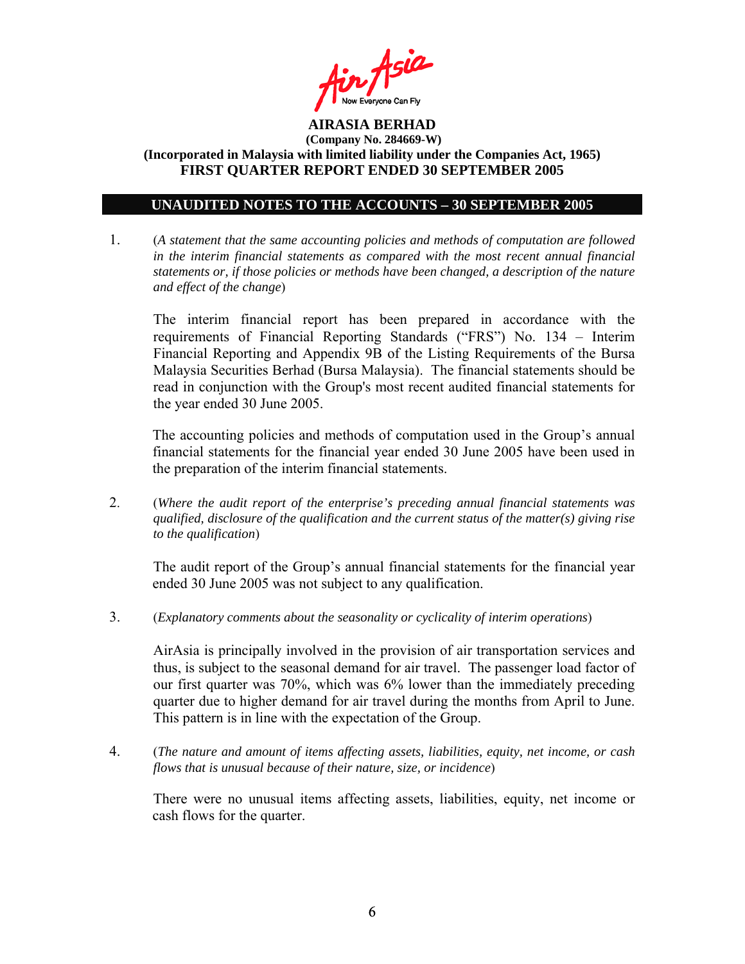

### **UNAUDITED NOTES TO THE ACCOUNTS – 30 SEPTEMBER 2005**

1. (*A statement that the same accounting policies and methods of computation are followed in the interim financial statements as compared with the most recent annual financial statements or, if those policies or methods have been changed, a description of the nature and effect of the change*)

The interim financial report has been prepared in accordance with the requirements of Financial Reporting Standards ("FRS") No. 134 – Interim Financial Reporting and Appendix 9B of the Listing Requirements of the Bursa Malaysia Securities Berhad (Bursa Malaysia). The financial statements should be read in conjunction with the Group's most recent audited financial statements for the year ended 30 June 2005.

The accounting policies and methods of computation used in the Group's annual financial statements for the financial year ended 30 June 2005 have been used in the preparation of the interim financial statements.

2. (*Where the audit report of the enterprise's preceding annual financial statements was qualified, disclosure of the qualification and the current status of the matter(s) giving rise to the qualification*)

The audit report of the Group's annual financial statements for the financial year ended 30 June 2005 was not subject to any qualification.

3. (*Explanatory comments about the seasonality or cyclicality of interim operations*)

AirAsia is principally involved in the provision of air transportation services and thus, is subject to the seasonal demand for air travel. The passenger load factor of our first quarter was 70%, which was 6% lower than the immediately preceding quarter due to higher demand for air travel during the months from April to June. This pattern is in line with the expectation of the Group.

4. (*The nature and amount of items affecting assets, liabilities, equity, net income, or cash flows that is unusual because of their nature, size, or incidence*)

 There were no unusual items affecting assets, liabilities, equity, net income or cash flows for the quarter.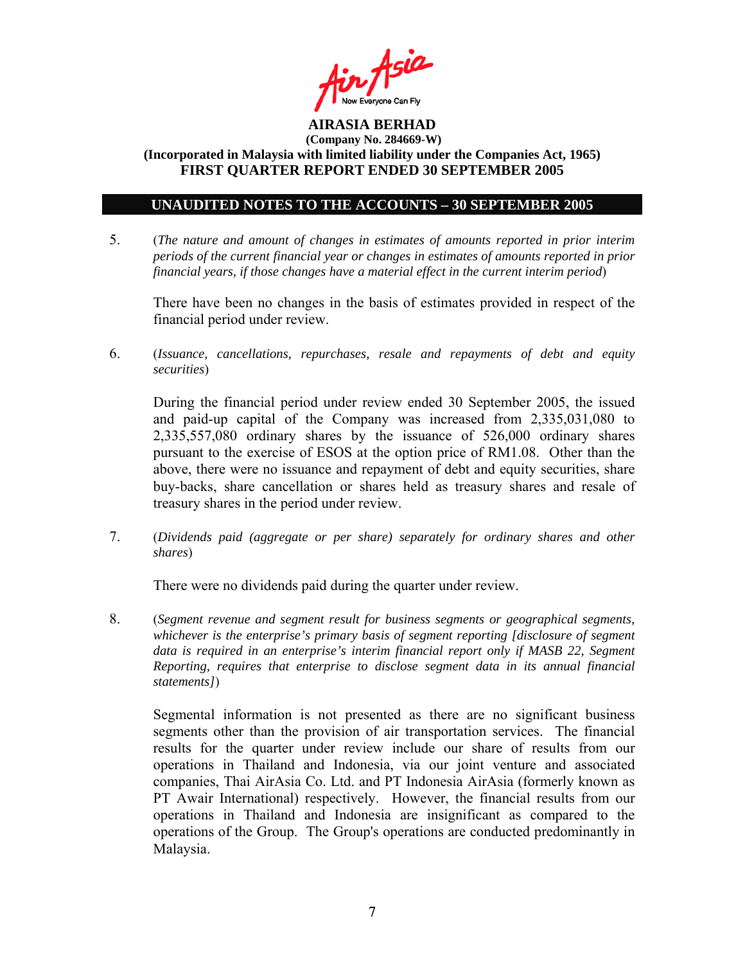

### **UNAUDITED NOTES TO THE ACCOUNTS – 30 SEPTEMBER 2005**

5. (*The nature and amount of changes in estimates of amounts reported in prior interim periods of the current financial year or changes in estimates of amounts reported in prior financial years, if those changes have a material effect in the current interim period*)

There have been no changes in the basis of estimates provided in respect of the financial period under review.

6. (*Issuance, cancellations, repurchases, resale and repayments of debt and equity securities*)

During the financial period under review ended 30 September 2005, the issued and paid-up capital of the Company was increased from 2,335,031,080 to 2,335,557,080 ordinary shares by the issuance of 526,000 ordinary shares pursuant to the exercise of ESOS at the option price of RM1.08. Other than the above, there were no issuance and repayment of debt and equity securities, share buy-backs, share cancellation or shares held as treasury shares and resale of treasury shares in the period under review.

7. (*Dividends paid (aggregate or per share) separately for ordinary shares and other shares*)

There were no dividends paid during the quarter under review.

8. (*Segment revenue and segment result for business segments or geographical segments, whichever is the enterprise's primary basis of segment reporting [disclosure of segment data is required in an enterprise's interim financial report only if MASB 22, Segment Reporting, requires that enterprise to disclose segment data in its annual financial statements]*)

Segmental information is not presented as there are no significant business segments other than the provision of air transportation services. The financial results for the quarter under review include our share of results from our operations in Thailand and Indonesia, via our joint venture and associated companies, Thai AirAsia Co. Ltd. and PT Indonesia AirAsia (formerly known as PT Awair International) respectively. However, the financial results from our operations in Thailand and Indonesia are insignificant as compared to the operations of the Group. The Group's operations are conducted predominantly in Malaysia.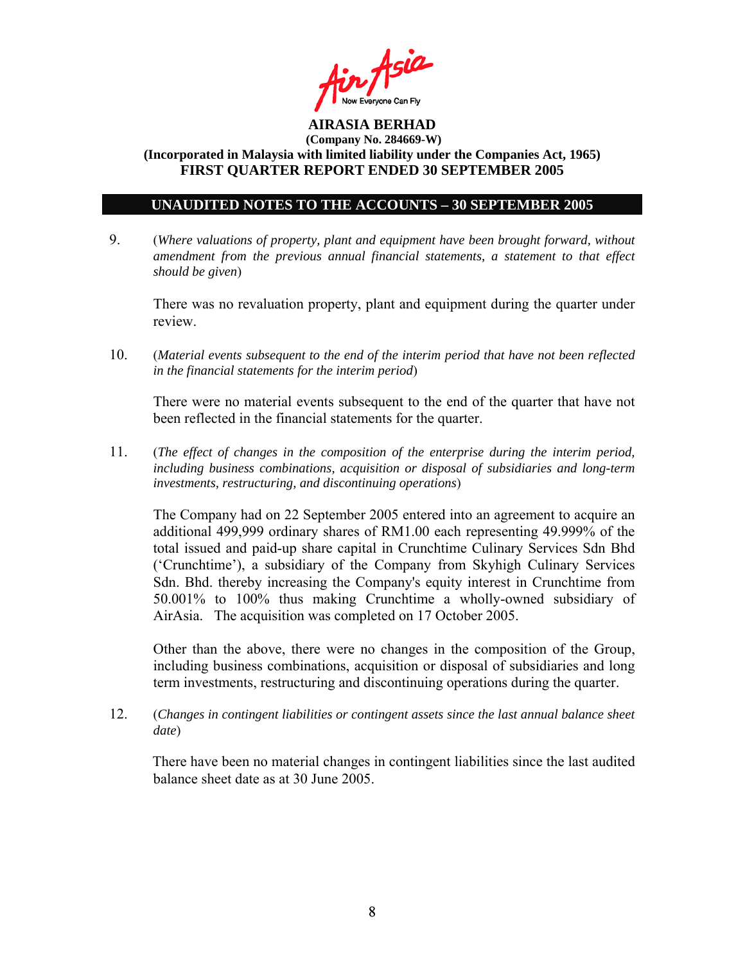

### **UNAUDITED NOTES TO THE ACCOUNTS – 30 SEPTEMBER 2005**

9. (*Where valuations of property, plant and equipment have been brought forward, without amendment from the previous annual financial statements, a statement to that effect should be given*)

 There was no revaluation property, plant and equipment during the quarter under review.

10. (*Material events subsequent to the end of the interim period that have not been reflected in the financial statements for the interim period*)

There were no material events subsequent to the end of the quarter that have not been reflected in the financial statements for the quarter.

11. (*The effect of changes in the composition of the enterprise during the interim period, including business combinations, acquisition or disposal of subsidiaries and long-term investments, restructuring, and discontinuing operations*)

The Company had on 22 September 2005 entered into an agreement to acquire an additional 499,999 ordinary shares of RM1.00 each representing 49.999% of the total issued and paid-up share capital in Crunchtime Culinary Services Sdn Bhd ('Crunchtime'), a subsidiary of the Company from Skyhigh Culinary Services Sdn. Bhd. thereby increasing the Company's equity interest in Crunchtime from 50.001% to 100% thus making Crunchtime a wholly-owned subsidiary of AirAsia. The acquisition was completed on 17 October 2005.

Other than the above, there were no changes in the composition of the Group, including business combinations, acquisition or disposal of subsidiaries and long term investments, restructuring and discontinuing operations during the quarter.

12. (*Changes in contingent liabilities or contingent assets since the last annual balance sheet date*)

There have been no material changes in contingent liabilities since the last audited balance sheet date as at 30 June 2005.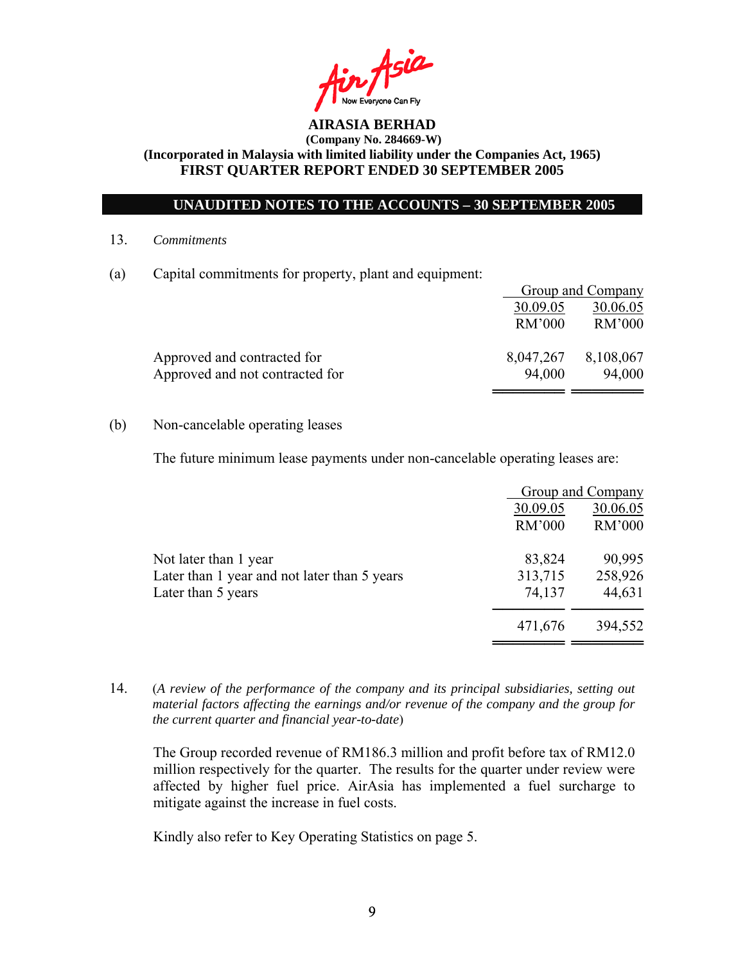

## **UNAUDITED NOTES TO THE ACCOUNTS – 30 SEPTEMBER 2005**

13. *Commitments*

(a) Capital commitments for property, plant and equipment:

|                                 | <b>Group and Company</b> |           |
|---------------------------------|--------------------------|-----------|
|                                 | 30.09.05                 | 30.06.05  |
|                                 | <b>RM'000</b>            | RM'000    |
| Approved and contracted for     | 8,047,267                | 8,108,067 |
| Approved and not contracted for | 94,000                   | 94,000    |
|                                 |                          |           |

### (b) Non-cancelable operating leases

The future minimum lease payments under non-cancelable operating leases are:

|                                              |          | Group and Company |
|----------------------------------------------|----------|-------------------|
|                                              | 30.09.05 | 30.06.05          |
|                                              | RM'000   | RM'000            |
| Not later than 1 year                        | 83,824   | 90,995            |
| Later than 1 year and not later than 5 years | 313,715  | 258,926           |
| Later than 5 years                           | 74,137   | 44,631            |
|                                              | 471,676  | 394,552           |
|                                              |          |                   |

14. (*A review of the performance of the company and its principal subsidiaries, setting out material factors affecting the earnings and/or revenue of the company and the group for the current quarter and financial year-to-date*)

The Group recorded revenue of RM186.3 million and profit before tax of RM12.0 million respectively for the quarter. The results for the quarter under review were affected by higher fuel price. AirAsia has implemented a fuel surcharge to mitigate against the increase in fuel costs.

Kindly also refer to Key Operating Statistics on page 5.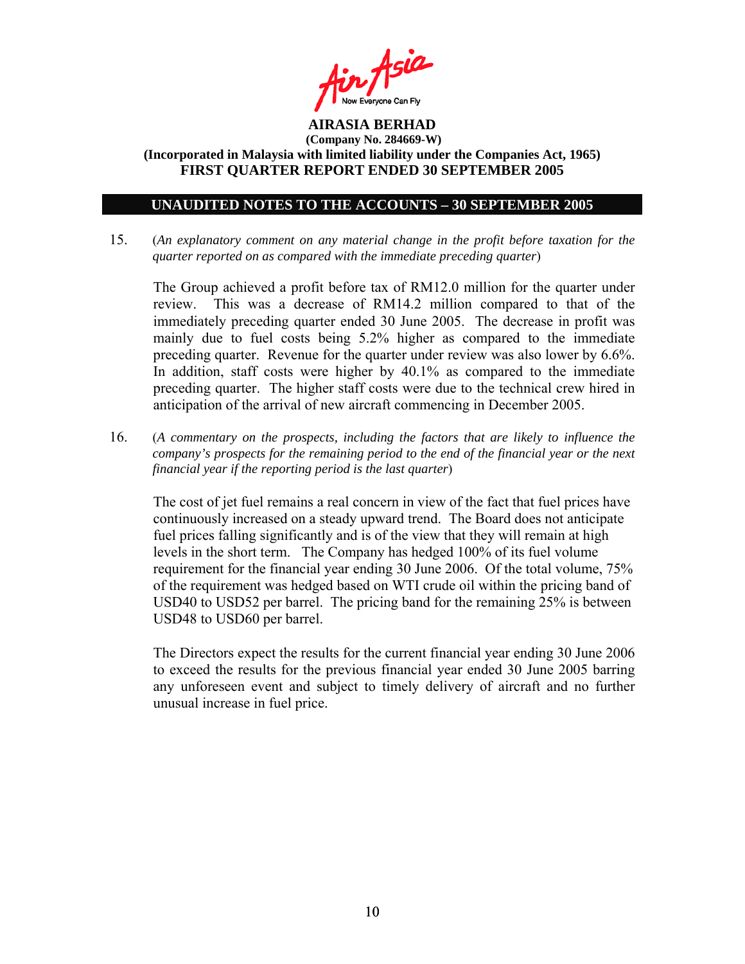

#### **UNAUDITED NOTES TO THE ACCOUNTS – 30 SEPTEMBER 2005**

15. (*An explanatory comment on any material change in the profit before taxation for the quarter reported on as compared with the immediate preceding quarter*)

The Group achieved a profit before tax of RM12.0 million for the quarter under review. This was a decrease of RM14.2 million compared to that of the immediately preceding quarter ended 30 June 2005. The decrease in profit was mainly due to fuel costs being 5.2% higher as compared to the immediate preceding quarter. Revenue for the quarter under review was also lower by 6.6%. In addition, staff costs were higher by 40.1% as compared to the immediate preceding quarter. The higher staff costs were due to the technical crew hired in anticipation of the arrival of new aircraft commencing in December 2005.

16. (*A commentary on the prospects, including the factors that are likely to influence the company's prospects for the remaining period to the end of the financial year or the next financial year if the reporting period is the last quarter*)

The cost of jet fuel remains a real concern in view of the fact that fuel prices have continuously increased on a steady upward trend. The Board does not anticipate fuel prices falling significantly and is of the view that they will remain at high levels in the short term. The Company has hedged 100% of its fuel volume requirement for the financial year ending 30 June 2006. Of the total volume, 75% of the requirement was hedged based on WTI crude oil within the pricing band of USD40 to USD52 per barrel. The pricing band for the remaining 25% is between USD48 to USD60 per barrel.

The Directors expect the results for the current financial year ending 30 June 2006 to exceed the results for the previous financial year ended 30 June 2005 barring any unforeseen event and subject to timely delivery of aircraft and no further unusual increase in fuel price.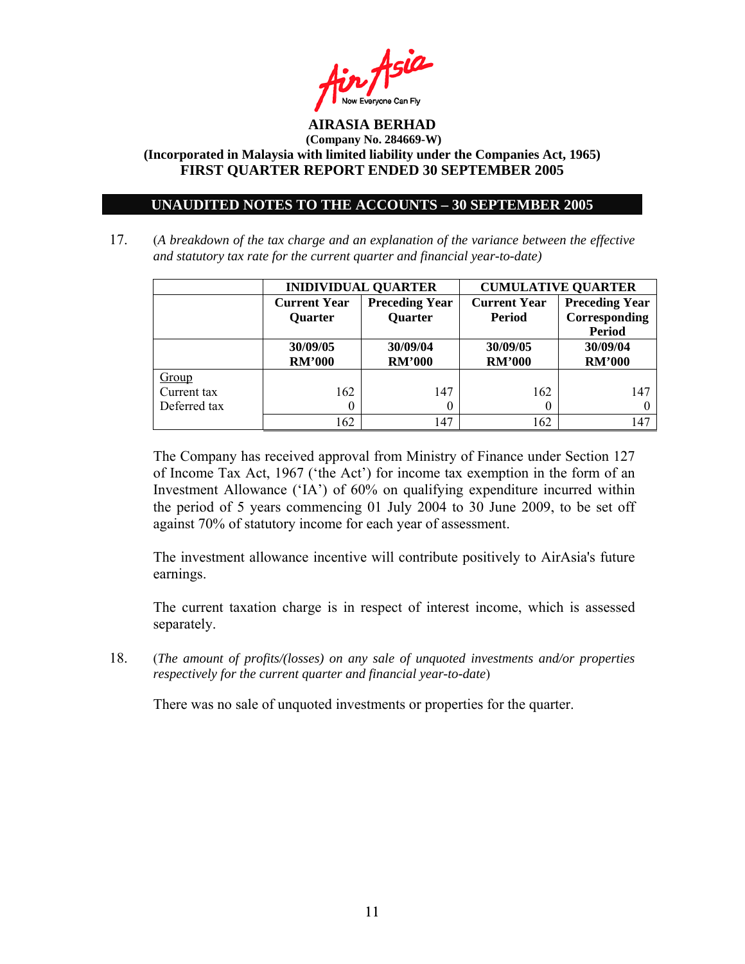

### **UNAUDITED NOTES TO THE ACCOUNTS – 30 SEPTEMBER 2005**

17. (*A breakdown of the tax charge and an explanation of the variance between the effective and statutory tax rate for the current quarter and financial year-to-date)*

|              | <b>INIDIVIDUAL QUARTER</b>            |                                         | <b>CUMULATIVE QUARTER</b> |                                        |  |
|--------------|---------------------------------------|-----------------------------------------|---------------------------|----------------------------------------|--|
|              | <b>Current Year</b><br><b>Ouarter</b> | <b>Preceding Year</b><br><b>Quarter</b> |                           | <b>Preceding Year</b><br>Corresponding |  |
|              |                                       |                                         |                           | <b>Period</b>                          |  |
|              | 30/09/05                              | 30/09/04                                | 30/09/05                  | 30/09/04                               |  |
|              | <b>RM'000</b>                         | <b>RM'000</b>                           | <b>RM'000</b>             | <b>RM'000</b>                          |  |
| Group        |                                       |                                         |                           |                                        |  |
| Current tax  | 162                                   | 147                                     | 162                       | 147                                    |  |
| Deferred tax |                                       |                                         |                           |                                        |  |
|              | 162                                   | 147                                     | 162                       | 147                                    |  |

The Company has received approval from Ministry of Finance under Section 127 of Income Tax Act, 1967 ('the Act') for income tax exemption in the form of an Investment Allowance ('IA') of 60% on qualifying expenditure incurred within the period of 5 years commencing 01 July 2004 to 30 June 2009, to be set off against 70% of statutory income for each year of assessment.

The investment allowance incentive will contribute positively to AirAsia's future earnings.

The current taxation charge is in respect of interest income, which is assessed separately.

18. (*The amount of profits/(losses) on any sale of unquoted investments and/or properties respectively for the current quarter and financial year-to-date*)

There was no sale of unquoted investments or properties for the quarter.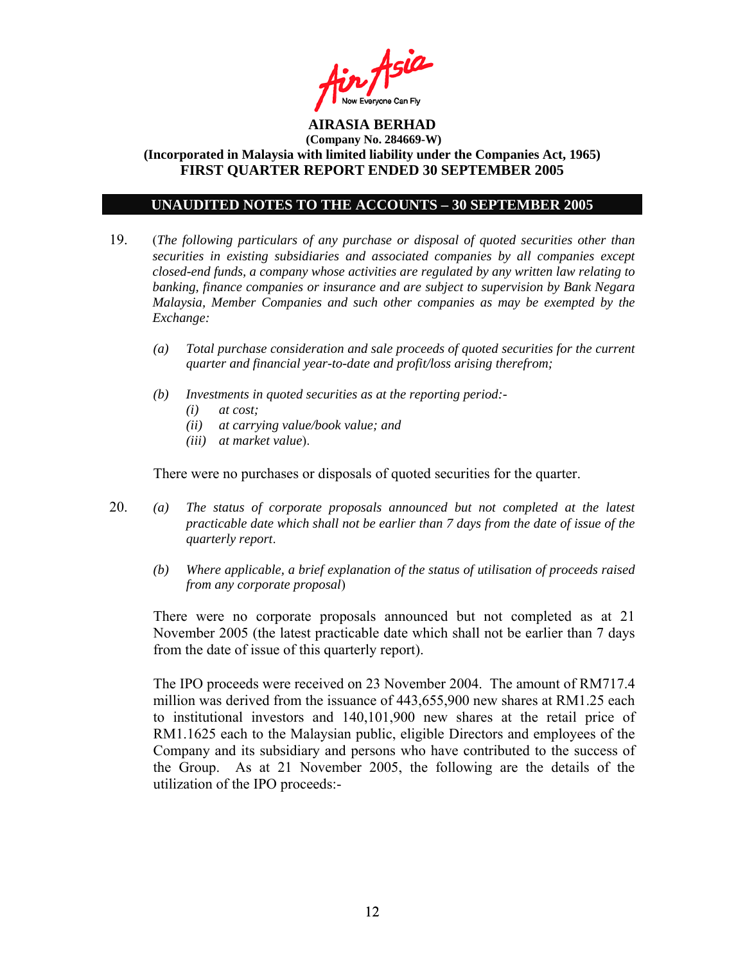

### **UNAUDITED NOTES TO THE ACCOUNTS – 30 SEPTEMBER 2005**

- 19. (*The following particulars of any purchase or disposal of quoted securities other than securities in existing subsidiaries and associated companies by all companies except closed-end funds, a company whose activities are regulated by any written law relating to banking, finance companies or insurance and are subject to supervision by Bank Negara Malaysia, Member Companies and such other companies as may be exempted by the Exchange:* 
	- *(a) Total purchase consideration and sale proceeds of quoted securities for the current quarter and financial year-to-date and profit/loss arising therefrom;*
	- *(b) Investments in quoted securities as at the reporting period:-* 
		- *(i) at cost;*
		- *(ii) at carrying value/book value; and*
		- *(iii) at market value*).

There were no purchases or disposals of quoted securities for the quarter.

- 20. *(a) The status of corporate proposals announced but not completed at the latest practicable date which shall not be earlier than 7 days from the date of issue of the quarterly report*.
	- *(b) Where applicable, a brief explanation of the status of utilisation of proceeds raised from any corporate proposal*)

There were no corporate proposals announced but not completed as at 21 November 2005 (the latest practicable date which shall not be earlier than 7 days from the date of issue of this quarterly report).

 The IPO proceeds were received on 23 November 2004. The amount of RM717.4 million was derived from the issuance of 443,655,900 new shares at RM1.25 each to institutional investors and 140,101,900 new shares at the retail price of RM1.1625 each to the Malaysian public, eligible Directors and employees of the Company and its subsidiary and persons who have contributed to the success of the Group. As at 21 November 2005, the following are the details of the utilization of the IPO proceeds:-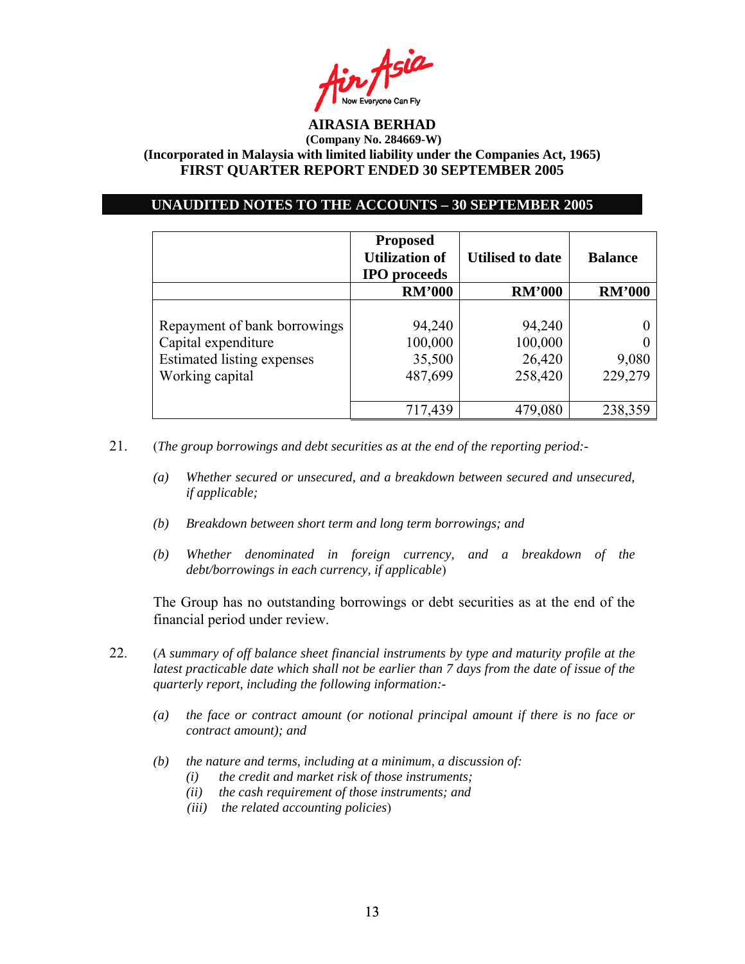

### **UNAUDITED NOTES TO THE ACCOUNTS – 30 SEPTEMBER 2005**

|                                                                                                             | <b>Proposed</b><br><b>Utilization of</b><br><b>IPO</b> proceeds | <b>Utilised to date</b>                | <b>Balance</b>   |  |
|-------------------------------------------------------------------------------------------------------------|-----------------------------------------------------------------|----------------------------------------|------------------|--|
|                                                                                                             | <b>RM'000</b>                                                   | <b>RM'000</b>                          | <b>RM'000</b>    |  |
| Repayment of bank borrowings<br>Capital expenditure<br><b>Estimated listing expenses</b><br>Working capital | 94,240<br>100,000<br>35,500<br>487,699                          | 94,240<br>100,000<br>26,420<br>258,420 | 9,080<br>229,279 |  |
|                                                                                                             | 717,439                                                         | 479,080                                | 238,359          |  |

21. (*The group borrowings and debt securities as at the end of the reporting period:-* 

- *(a) Whether secured or unsecured, and a breakdown between secured and unsecured, if applicable;*
- *(b) Breakdown between short term and long term borrowings; and*
- *(b) Whether denominated in foreign currency, and a breakdown of the debt/borrowings in each currency, if applicable*)

The Group has no outstanding borrowings or debt securities as at the end of the financial period under review.

- 22. (*A summary of off balance sheet financial instruments by type and maturity profile at the latest practicable date which shall not be earlier than 7 days from the date of issue of the quarterly report, including the following information:-* 
	- *(a) the face or contract amount (or notional principal amount if there is no face or contract amount); and*
	- *(b) the nature and terms, including at a minimum, a discussion of:* 
		- *(i) the credit and market risk of those instruments;*
		- *(ii) the cash requirement of those instruments; and*
		- *(iii) the related accounting policies*)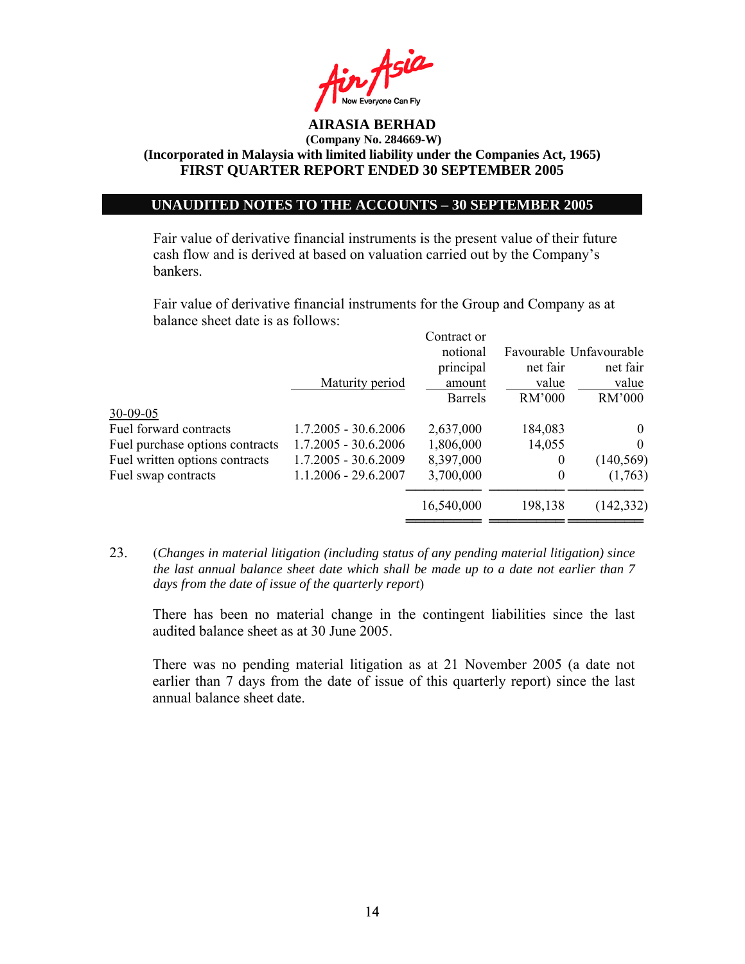

## **UNAUDITED NOTES TO THE ACCOUNTS – 30 SEPTEMBER 2005**

Fair value of derivative financial instruments is the present value of their future cash flow and is derived at based on valuation carried out by the Company's bankers.

 Fair value of derivative financial instruments for the Group and Company as at balance sheet date is as follows:

|                                 |                        | Contract or    |                  |                         |
|---------------------------------|------------------------|----------------|------------------|-------------------------|
|                                 |                        | notional       |                  | Favourable Unfavourable |
|                                 |                        | principal      | net fair         | net fair                |
|                                 | Maturity period        | amount         | value            | value                   |
|                                 |                        | <b>Barrels</b> | <b>RM'000</b>    | RM'000                  |
| 30-09-05                        |                        |                |                  |                         |
| Fuel forward contracts          | $1.7.2005 - 30.6.2006$ | 2,637,000      | 184,083          | $\theta$                |
| Fuel purchase options contracts | $1.7.2005 - 30.6.2006$ | 1,806,000      | 14,055           | $\theta$                |
| Fuel written options contracts  | $1.7.2005 - 30.6.2009$ | 8,397,000      | 0                | (140, 569)              |
| Fuel swap contracts             | $1.1.2006 - 29.6.2007$ | 3,700,000      | $\boldsymbol{0}$ | (1,763)                 |
|                                 |                        | 16,540,000     | 198,138          | (142, 332)              |
|                                 |                        |                |                  |                         |

23. (*Changes in material litigation (including status of any pending material litigation) since the last annual balance sheet date which shall be made up to a date not earlier than 7 days from the date of issue of the quarterly report*)

There has been no material change in the contingent liabilities since the last audited balance sheet as at 30 June 2005.

There was no pending material litigation as at 21 November 2005 (a date not earlier than 7 days from the date of issue of this quarterly report) since the last annual balance sheet date.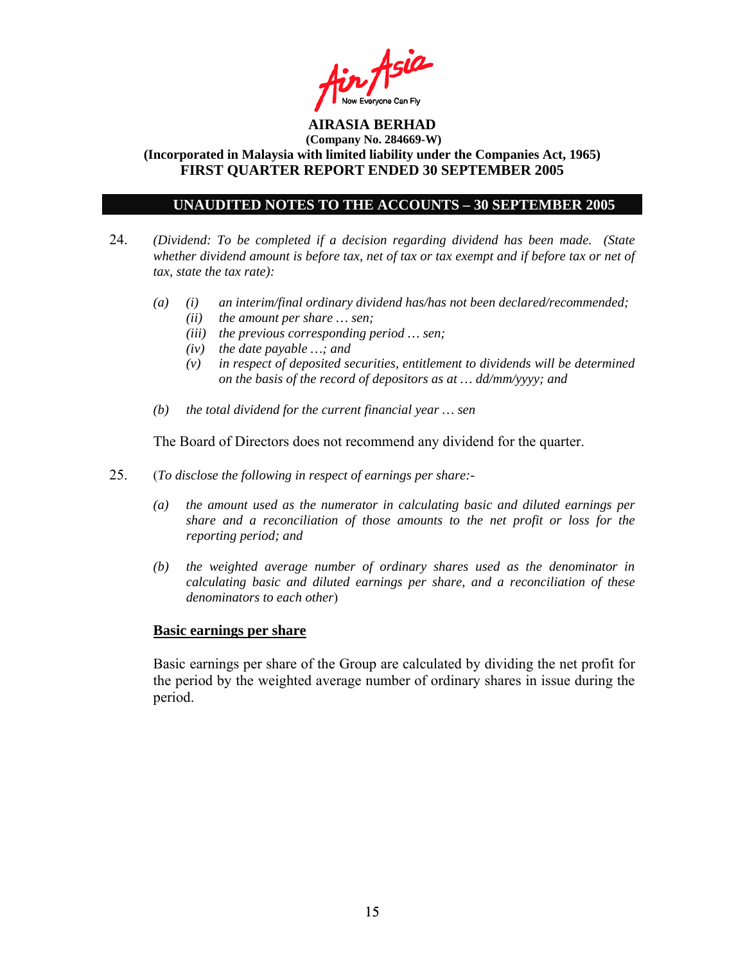

## **UNAUDITED NOTES TO THE ACCOUNTS – 30 SEPTEMBER 2005**

- 24. *(Dividend: To be completed if a decision regarding dividend has been made. (State whether dividend amount is before tax, net of tax or tax exempt and if before tax or net of tax, state the tax rate):*
	- *(a) (i) an interim/final ordinary dividend has/has not been declared/recommended; (ii) the amount per share … sen;* 
		- *(iii) the previous corresponding period … sen;*
		- *(iv) the date payable …; and*
		- *(v) in respect of deposited securities, entitlement to dividends will be determined on the basis of the record of depositors as at … dd/mm/yyyy; and*
	- *(b) the total dividend for the current financial year … sen*

The Board of Directors does not recommend any dividend for the quarter.

- 25. (*To disclose the following in respect of earnings per share:-* 
	- *(a) the amount used as the numerator in calculating basic and diluted earnings per share and a reconciliation of those amounts to the net profit or loss for the reporting period; and*
	- *(b) the weighted average number of ordinary shares used as the denominator in calculating basic and diluted earnings per share, and a reconciliation of these denominators to each other*)

### **Basic earnings per share**

 Basic earnings per share of the Group are calculated by dividing the net profit for the period by the weighted average number of ordinary shares in issue during the period.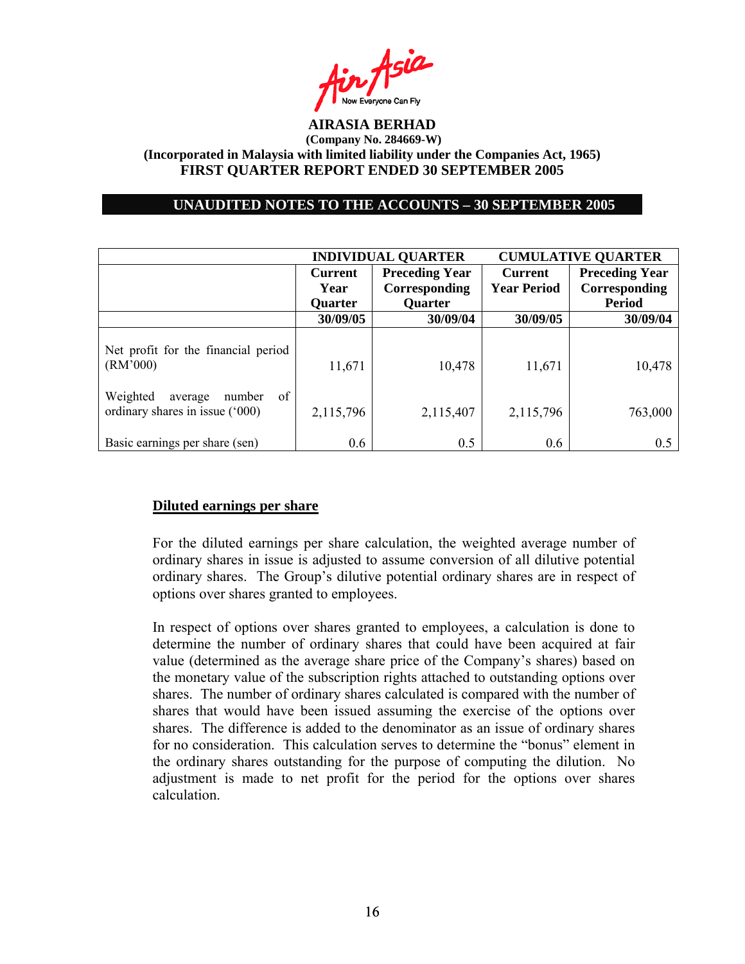

### **UNAUDITED NOTES TO THE ACCOUNTS – 30 SEPTEMBER 2005**

|                                                                        | <b>INDIVIDUAL QUARTER</b> |                       | <b>CUMULATIVE QUARTER</b> |                       |
|------------------------------------------------------------------------|---------------------------|-----------------------|---------------------------|-----------------------|
|                                                                        | <b>Current</b>            | <b>Preceding Year</b> | <b>Current</b>            | <b>Preceding Year</b> |
|                                                                        | Year                      | Corresponding         | <b>Year Period</b>        | Corresponding         |
|                                                                        | <b>Quarter</b>            | <b>Quarter</b>        |                           | <b>Period</b>         |
|                                                                        | 30/09/05                  | 30/09/04              | 30/09/05                  | 30/09/04              |
| Net profit for the financial period<br>(RM'000)                        | 11,671                    | 10,478                | 11,671                    | 10,478                |
| Weighted<br>of<br>number<br>average<br>ordinary shares in issue ('000) | 2,115,796                 | 2,115,407             | 2,115,796                 | 763,000               |
| Basic earnings per share (sen)                                         | 0.6                       | 0.5                   | 0.6                       | 0.5                   |

### **Diluted earnings per share**

For the diluted earnings per share calculation, the weighted average number of ordinary shares in issue is adjusted to assume conversion of all dilutive potential ordinary shares. The Group's dilutive potential ordinary shares are in respect of options over shares granted to employees.

In respect of options over shares granted to employees, a calculation is done to determine the number of ordinary shares that could have been acquired at fair value (determined as the average share price of the Company's shares) based on the monetary value of the subscription rights attached to outstanding options over shares. The number of ordinary shares calculated is compared with the number of shares that would have been issued assuming the exercise of the options over shares. The difference is added to the denominator as an issue of ordinary shares for no consideration. This calculation serves to determine the "bonus" element in the ordinary shares outstanding for the purpose of computing the dilution. No adjustment is made to net profit for the period for the options over shares calculation.